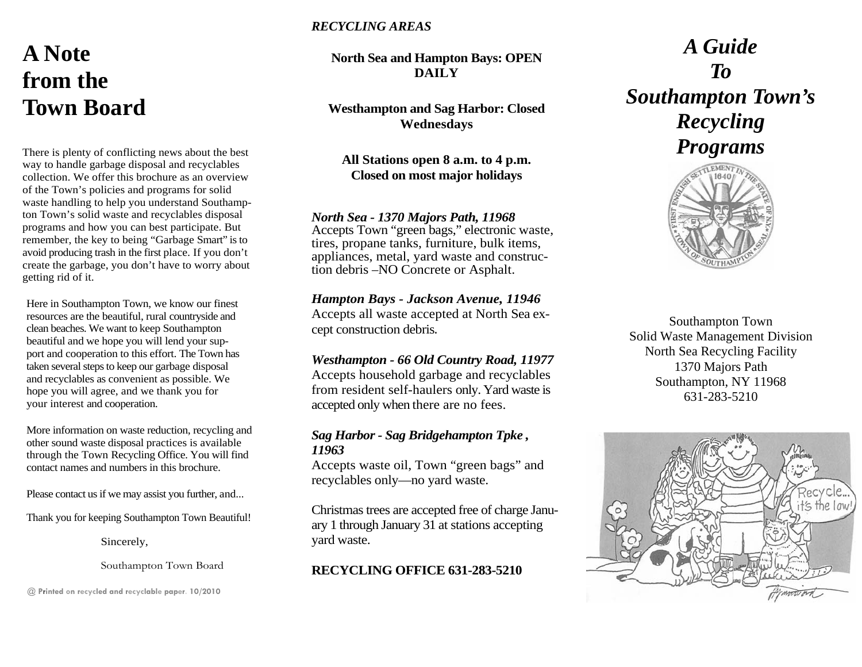## **A Note from the Town Board**

There is plenty of conflicting news about the best way to handle garbage disposal and recyclables collection. We offer this brochure as an overview of the Town's policies and programs for solid waste handling to help you understand Southampton Town's solid waste and recyclables disposal programs and how you can best participate. But remember, the key to being "Garbage Smart" is to avoid producing trash in the first place. If you don't create the garbage, you don't have to worry about getting rid of it.

Here in Southampton Town, we know our finest resources are the beautiful, rural countryside and clean beaches. We want to keep Southampton beautiful and we hope you will lend your support and cooperation to this effort. The Town has taken several steps to keep our garbage disposal and recyclables as convenient as possible. We hope you will agree, and we thank you for your interest and cooperation.

More information on waste reduction, recycling and other sound waste disposal practices is available through the Town Recycling Office. You will find contact names and numbers in this brochure.

Please contact us if we may assist you further, and...

Thank you for keeping Southampton Town Beautiful!

Sincerely,

Southampton Town Board

@ **Printed on recycled and recyclable paper. 10/2010**

### *RECYCLING AREAS*

**North Sea and Hampton Bays: OPEN DAILY** 

**Westhampton and Sag Harbor: Closed Wednesdays** 

**All Stations open 8 a.m. to 4 p.m. Closed on most major holidays** 

## *North Sea - 1370 Majors Path, 11968*

Accepts Town "green bags," electronic waste, tires, propane tanks, furniture, bulk items, appliances, metal, yard waste and construction debris –NO Concrete or Asphalt.

## *Hampton Bays - Jackson Avenue, 11946*

Accepts all waste accepted at North Sea except construction debris.

## *Westhampton - 66 Old Country Road, 11977*

Accepts household garbage and recyclables from resident self-haulers only. Yard waste is accepted only when there are no fees.

## *Sag Harbor - Sag Bridgehampton Tpke , 11963*

Accepts waste oil, Town "green bags" and recyclables only—no yard waste.

Christmas trees are accepted free of charge January 1 through January 31 at stations accepting yard waste.

## **RECYCLING OFFICE 631-283-5210**

# *A Guide To Southampton Town's Recycling Programs*



Southampton Town Solid Waste Management Division North Sea Recycling Facility 1370 Majors Path Southampton, NY 11968 631-283-5210